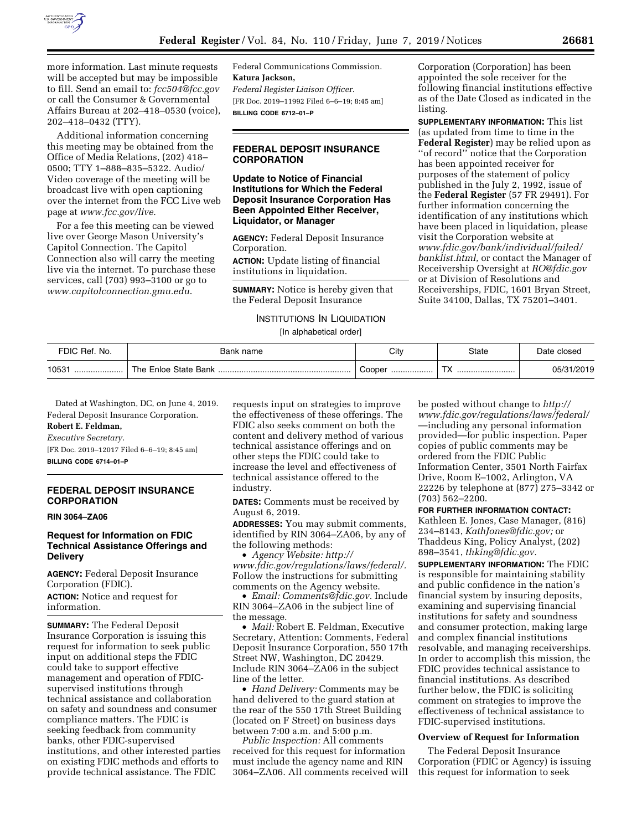

more information. Last minute requests will be accepted but may be impossible to fill. Send an email to: *[fcc504@fcc.gov](mailto:fcc504@fcc.gov)*  or call the Consumer & Governmental Affairs Bureau at 202–418–0530 (voice), 202–418–0432 (TTY).

Additional information concerning this meeting may be obtained from the Office of Media Relations, (202) 418– 0500; TTY 1–888–835–5322. Audio/ Video coverage of the meeting will be broadcast live with open captioning over the internet from the FCC Live web page at *[www.fcc.gov/live](http://www.fcc.gov/live)*.

For a fee this meeting can be viewed live over George Mason University's Capitol Connection. The Capitol Connection also will carry the meeting live via the internet. To purchase these services, call (703) 993–3100 or go to *[www.capitolconnection.gmu.edu](http://www.capitolconnection.gmu.edu)*.

Federal Communications Commission. **Katura Jackson,**  *Federal Register Liaison Officer.*  [FR Doc. 2019–11992 Filed 6–6–19; 8:45 am] **BILLING CODE 6712–01–P** 

## **FEDERAL DEPOSIT INSURANCE CORPORATION**

## **Update to Notice of Financial Institutions for Which the Federal Deposit Insurance Corporation Has Been Appointed Either Receiver, Liquidator, or Manager**

**AGENCY:** Federal Deposit Insurance Corporation.

**ACTION:** Update listing of financial institutions in liquidation.

**SUMMARY:** Notice is hereby given that the Federal Deposit Insurance

## INSTITUTIONS IN LIQUIDATION [In alphabetical order]

Corporation (Corporation) has been appointed the sole receiver for the following financial institutions effective as of the Date Closed as indicated in the listing.

**SUPPLEMENTARY INFORMATION:** This list (as updated from time to time in the **Federal Register**) may be relied upon as ''of record'' notice that the Corporation has been appointed receiver for purposes of the statement of policy published in the July 2, 1992, issue of the **Federal Register** (57 FR 29491). For further information concerning the identification of any institutions which have been placed in liquidation, please visit the Corporation website at *[www.fdic.gov/bank/individual/failed/](http://www.fdic.gov/bank/individual/failed/banklist.html)  [banklist.html,](http://www.fdic.gov/bank/individual/failed/banklist.html)* or contact the Manager of Receivership Oversight at *[RO@fdic.gov](mailto:RO@fdic.gov)*  or at Division of Resolutions and Receiverships, FDIC, 1601 Bryan Street, Suite 34100, Dallas, TX 75201–3401.

| FDIC Ref. No. | Bank name            | City       | <b>State</b>                   | Date closed |
|---------------|----------------------|------------|--------------------------------|-------------|
| 10531         | The Enloe State Bank | Cooper<br> | $\mathbf{r}$<br>$\sqrt{ }$<br> | 05/31/2019  |

Dated at Washington, DC, on June 4, 2019. Federal Deposit Insurance Corporation.

# **Robert E. Feldman,**

*Executive Secretary.*  [FR Doc. 2019–12017 Filed 6–6–19; 8:45 am]

**BILLING CODE 6714–01–P** 

## **FEDERAL DEPOSIT INSURANCE CORPORATION**

#### **RIN 3064–ZA06**

## **Request for Information on FDIC Technical Assistance Offerings and Delivery**

**AGENCY:** Federal Deposit Insurance Corporation (FDIC).

**ACTION:** Notice and request for information.

**SUMMARY:** The Federal Deposit Insurance Corporation is issuing this request for information to seek public input on additional steps the FDIC could take to support effective management and operation of FDICsupervised institutions through technical assistance and collaboration on safety and soundness and consumer compliance matters. The FDIC is seeking feedback from community banks, other FDIC-supervised institutions, and other interested parties on existing FDIC methods and efforts to provide technical assistance. The FDIC

requests input on strategies to improve the effectiveness of these offerings. The FDIC also seeks comment on both the content and delivery method of various technical assistance offerings and on other steps the FDIC could take to increase the level and effectiveness of technical assistance offered to the industry.

**DATES:** Comments must be received by August 6, 2019.

**ADDRESSES:** You may submit comments, identified by RIN 3064–ZA06, by any of the following methods:

• *Agency Website: [http://](http://www.fdic.gov/regulations/laws/federal/) [www.fdic.gov/regulations/laws/federal/.](http://www.fdic.gov/regulations/laws/federal/)*  Follow the instructions for submitting comments on the Agency website.

• *Email: [Comments@fdic.gov.](mailto:Comments@fdic.gov)* Include RIN 3064–ZA06 in the subject line of the message.

• *Mail:* Robert E. Feldman, Executive Secretary, Attention: Comments, Federal Deposit Insurance Corporation, 550 17th Street NW, Washington, DC 20429. Include RIN 3064–ZA06 in the subject line of the letter.

• *Hand Delivery:* Comments may be hand delivered to the guard station at the rear of the 550 17th Street Building (located on F Street) on business days between 7:00 a.m. and 5:00 p.m.

*Public Inspection:* All comments received for this request for information must include the agency name and RIN 3064–ZA06. All comments received will

be posted without change to *[http://](http://www.fdic.gov/regulations/laws/federal/) [www.fdic.gov/regulations/laws/federal/](http://www.fdic.gov/regulations/laws/federal/)*  —including any personal information provided—for public inspection. Paper copies of public comments may be ordered from the FDIC Public Information Center, 3501 North Fairfax Drive, Room E–1002, Arlington, VA 22226 by telephone at (877) 275–3342 or (703) 562–2200.

#### **FOR FURTHER INFORMATION CONTACT:**

Kathleen E. Jones, Case Manager, (816) 234–8143, *[KathJones@fdic.gov;](mailto:KathJones@fdic.gov)* or Thaddeus King, Policy Analyst, (202) 898–3541, *[thking@fdic.gov.](mailto:thking@fdic.gov)* 

**SUPPLEMENTARY INFORMATION:** The FDIC is responsible for maintaining stability and public confidence in the nation's financial system by insuring deposits, examining and supervising financial institutions for safety and soundness and consumer protection, making large and complex financial institutions resolvable, and managing receiverships. In order to accomplish this mission, the FDIC provides technical assistance to financial institutions. As described further below, the FDIC is soliciting comment on strategies to improve the effectiveness of technical assistance to FDIC-supervised institutions.

### **Overview of Request for Information**

The Federal Deposit Insurance Corporation (FDIC or Agency) is issuing this request for information to seek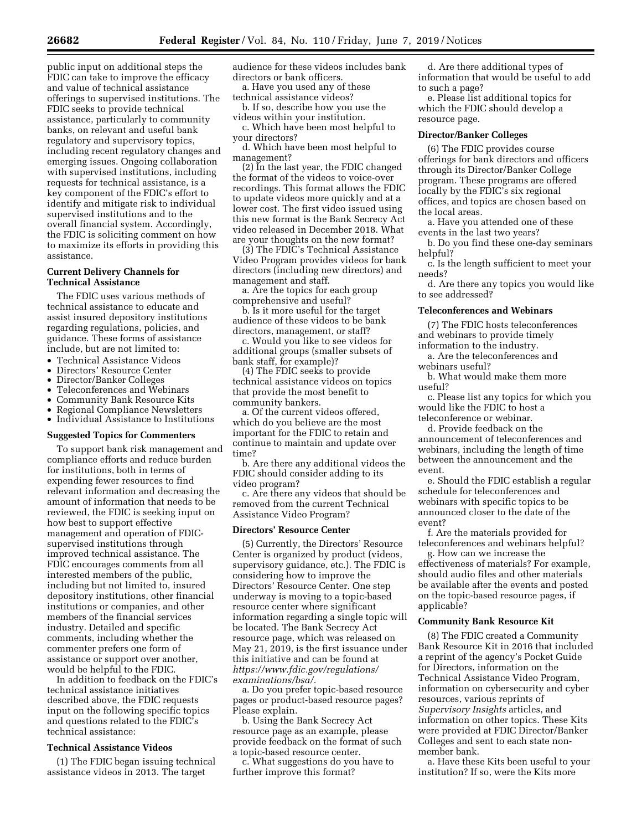public input on additional steps the FDIC can take to improve the efficacy and value of technical assistance offerings to supervised institutions. The FDIC seeks to provide technical assistance, particularly to community banks, on relevant and useful bank regulatory and supervisory topics, including recent regulatory changes and emerging issues. Ongoing collaboration with supervised institutions, including requests for technical assistance, is a key component of the FDIC's effort to identify and mitigate risk to individual supervised institutions and to the overall financial system. Accordingly, the FDIC is soliciting comment on how to maximize its efforts in providing this assistance.

## **Current Delivery Channels for Technical Assistance**

The FDIC uses various methods of technical assistance to educate and assist insured depository institutions regarding regulations, policies, and guidance. These forms of assistance include, but are not limited to:

- Technical Assistance Videos
- Directors' Resource Center
- Director/Banker Colleges
- Teleconferences and Webinars
- Community Bank Resource Kits
- Regional Compliance Newsletters
- Individual Assistance to Institutions

#### **Suggested Topics for Commenters**

To support bank risk management and compliance efforts and reduce burden for institutions, both in terms of expending fewer resources to find relevant information and decreasing the amount of information that needs to be reviewed, the FDIC is seeking input on how best to support effective management and operation of FDICsupervised institutions through improved technical assistance. The FDIC encourages comments from all interested members of the public, including but not limited to, insured depository institutions, other financial institutions or companies, and other members of the financial services industry. Detailed and specific comments, including whether the commenter prefers one form of assistance or support over another, would be helpful to the FDIC.

In addition to feedback on the FDIC's technical assistance initiatives described above, the FDIC requests input on the following specific topics and questions related to the FDIC's technical assistance:

#### **Technical Assistance Videos**

(1) The FDIC began issuing technical assistance videos in 2013. The target

audience for these videos includes bank directors or bank officers.

a. Have you used any of these technical assistance videos?

b. If so, describe how you use the videos within your institution.

c. Which have been most helpful to your directors?

d. Which have been most helpful to management?

(2) In the last year, the FDIC changed the format of the videos to voice-over recordings. This format allows the FDIC to update videos more quickly and at a lower cost. The first video issued using this new format is the Bank Secrecy Act video released in December 2018. What are your thoughts on the new format?

(3) The FDIC's Technical Assistance Video Program provides videos for bank directors (including new directors) and management and staff.

a. Are the topics for each group comprehensive and useful?

b. Is it more useful for the target audience of these videos to be bank directors, management, or staff?

c. Would you like to see videos for additional groups (smaller subsets of bank staff, for example)?

(4) The FDIC seeks to provide technical assistance videos on topics that provide the most benefit to community bankers.

a. Of the current videos offered, which do you believe are the most important for the FDIC to retain and continue to maintain and update over time?

b. Are there any additional videos the FDIC should consider adding to its video program?

c. Are there any videos that should be removed from the current Technical Assistance Video Program?

#### **Directors' Resource Center**

(5) Currently, the Directors' Resource Center is organized by product (videos, supervisory guidance, etc.). The FDIC is considering how to improve the Directors' Resource Center. One step underway is moving to a topic-based resource center where significant information regarding a single topic will be located. The Bank Secrecy Act resource page, which was released on May 21, 2019, is the first issuance under this initiative and can be found at *[https://www.fdic.gov/regulations/](https://www.fdic.gov/regulations/examinations/bsa/) [examinations/bsa/.](https://www.fdic.gov/regulations/examinations/bsa/)* 

a. Do you prefer topic-based resource pages or product-based resource pages? Please explain.

b. Using the Bank Secrecy Act resource page as an example, please provide feedback on the format of such a topic-based resource center.

c. What suggestions do you have to further improve this format?

d. Are there additional types of information that would be useful to add to such a page?

e. Please list additional topics for which the FDIC should develop a resource page.

#### **Director/Banker Colleges**

(6) The FDIC provides course offerings for bank directors and officers through its Director/Banker College program. These programs are offered locally by the FDIC's six regional offices, and topics are chosen based on the local areas.

a. Have you attended one of these events in the last two years?

b. Do you find these one-day seminars helpful?

c. Is the length sufficient to meet your needs?

d. Are there any topics you would like to see addressed?

## **Teleconferences and Webinars**

(7) The FDIC hosts teleconferences and webinars to provide timely

information to the industry. a. Are the teleconferences and

webinars useful?

b. What would make them more useful?

c. Please list any topics for which you would like the FDIC to host a teleconference or webinar.

d. Provide feedback on the announcement of teleconferences and webinars, including the length of time between the announcement and the event.

e. Should the FDIC establish a regular schedule for teleconferences and webinars with specific topics to be announced closer to the date of the event?

f. Are the materials provided for teleconferences and webinars helpful?

g. How can we increase the effectiveness of materials? For example, should audio files and other materials be available after the events and posted on the topic-based resource pages, if applicable?

#### **Community Bank Resource Kit**

(8) The FDIC created a Community Bank Resource Kit in 2016 that included a reprint of the agency's Pocket Guide for Directors, information on the Technical Assistance Video Program, information on cybersecurity and cyber resources, various reprints of *Supervisory Insights* articles, and information on other topics. These Kits were provided at FDIC Director/Banker Colleges and sent to each state nonmember bank.

a. Have these Kits been useful to your institution? If so, were the Kits more